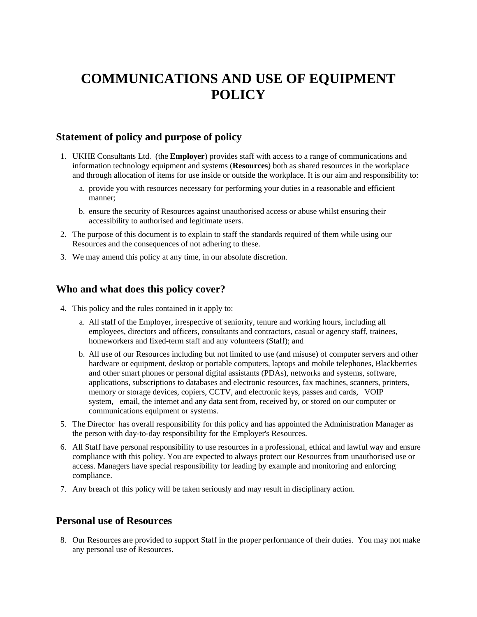# **COMMUNICATIONS AND USE OF EQUIPMENT POLICY**

# **Statement of policy and purpose of policy**

- 1. UKHE Consultants Ltd. (the **Employer**) provides staff with access to a range of communications and information technology equipment and systems (**Resources**) both as shared resources in the workplace and through allocation of items for use inside or outside the workplace. It is our aim and responsibility to:
	- a. provide you with resources necessary for performing your duties in a reasonable and efficient manner;
	- b. ensure the security of Resources against unauthorised access or abuse whilst ensuring their accessibility to authorised and legitimate users.
- 2. The purpose of this document is to explain to staff the standards required of them while using our Resources and the consequences of not adhering to these.
- 3. We may amend this policy at any time, in our absolute discretion.

## **Who and what does this policy cover?**

- 4. This policy and the rules contained in it apply to:
	- a. All staff of the Employer, irrespective of seniority, tenure and working hours, including all employees, directors and officers, consultants and contractors, casual or agency staff, trainees, homeworkers and fixed-term staff and any volunteers (Staff); and
	- b. All use of our Resources including but not limited to use (and misuse) of computer servers and other hardware or equipment, desktop or portable computers, laptops and mobile telephones, Blackberries and other smart phones or personal digital assistants (PDAs), networks and systems, software, applications, subscriptions to databases and electronic resources, fax machines, scanners, printers, memory or storage devices, copiers, CCTV, and electronic keys, passes and cards, VOIP system, email, the internet and any data sent from, received by, or stored on our computer or communications equipment or systems.
- 5. The Director has overall responsibility for this policy and has appointed the Administration Manager as the person with day-to-day responsibility for the Employer's Resources.
- 6. All Staff have personal responsibility to use resources in a professional, ethical and lawful way and ensure compliance with this policy. You are expected to always protect our Resources from unauthorised use or access. Managers have special responsibility for leading by example and monitoring and enforcing compliance.
- 7. Any breach of this policy will be taken seriously and may result in disciplinary action.

## **Personal use of Resources**

8. Our Resources are provided to support Staff in the proper performance of their duties. You may not make any personal use of Resources.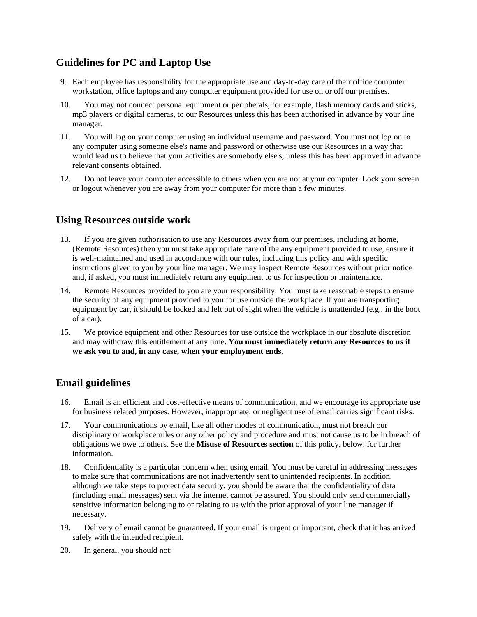# **Guidelines for PC and Laptop Use**

- 9. Each employee has responsibility for the appropriate use and day-to-day care of their office computer workstation, office laptops and any computer equipment provided for use on or off our premises.
- 10. You may not connect personal equipment or peripherals, for example, flash memory cards and sticks, mp3 players or digital cameras, to our Resources unless this has been authorised in advance by your line manager.
- 11. You will log on your computer using an individual username and password. You must not log on to any computer using someone else's name and password or otherwise use our Resources in a way that would lead us to believe that your activities are somebody else's, unless this has been approved in advance relevant consents obtained.
- 12. Do not leave your computer accessible to others when you are not at your computer. Lock your screen or logout whenever you are away from your computer for more than a few minutes.

## **Using Resources outside work**

- 13. If you are given authorisation to use any Resources away from our premises, including at home, (Remote Resources) then you must take appropriate care of the any equipment provided to use, ensure it is well-maintained and used in accordance with our rules, including this policy and with specific instructions given to you by your line manager. We may inspect Remote Resources without prior notice and, if asked, you must immediately return any equipment to us for inspection or maintenance.
- 14. Remote Resources provided to you are your responsibility. You must take reasonable steps to ensure the security of any equipment provided to you for use outside the workplace. If you are transporting equipment by car, it should be locked and left out of sight when the vehicle is unattended (e.g., in the boot of a car).
- 15. We provide equipment and other Resources for use outside the workplace in our absolute discretion and may withdraw this entitlement at any time. **You must immediately return any Resources to us if we ask you to and, in any case, when your employment ends.**

# **Email guidelines**

- 16. Email is an efficient and cost-effective means of communication, and we encourage its appropriate use for business related purposes. However, inappropriate, or negligent use of email carries significant risks.
- 17. Your communications by email, like all other modes of communication, must not breach our disciplinary or workplace rules or any other policy and procedure and must not cause us to be in breach of obligations we owe to others. See the **Misuse of Resources section** of this policy, below, for further information.
- 18. Confidentiality is a particular concern when using email. You must be careful in addressing messages to make sure that communications are not inadvertently sent to unintended recipients. In addition, although we take steps to protect data security, you should be aware that the confidentiality of data (including email messages) sent via the internet cannot be assured. You should only send commercially sensitive information belonging to or relating to us with the prior approval of your line manager if necessary.
- 19. Delivery of email cannot be guaranteed. If your email is urgent or important, check that it has arrived safely with the intended recipient.
- 20. In general, you should not: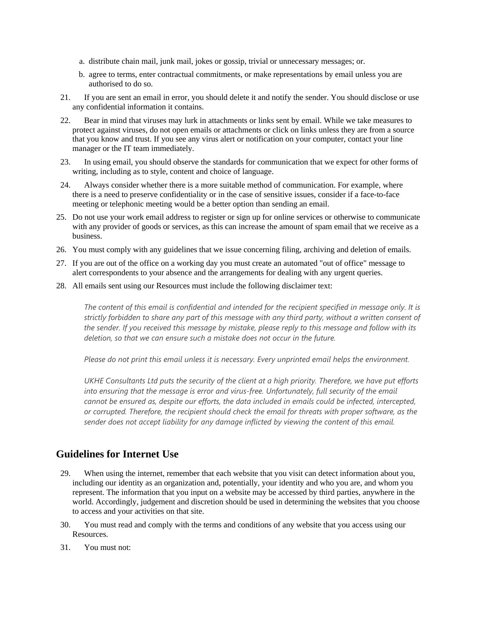- a. distribute chain mail, junk mail, jokes or gossip, trivial or unnecessary messages; or.
- b. agree to terms, enter contractual commitments, or make representations by email unless you are authorised to do so.
- 21. If you are sent an email in error, you should delete it and notify the sender. You should disclose or use any confidential information it contains.
- 22. Bear in mind that viruses may lurk in attachments or links sent by email. While we take measures to protect against viruses, do not open emails or attachments or click on links unless they are from a source that you know and trust. If you see any virus alert or notification on your computer, contact your line manager or the IT team immediately.
- 23. In using email, you should observe the standards for communication that we expect for other forms of writing, including as to style, content and choice of language.
- 24. Always consider whether there is a more suitable method of communication. For example, where there is a need to preserve confidentiality or in the case of sensitive issues, consider if a face-to-face meeting or telephonic meeting would be a better option than sending an email.
- 25. Do not use your work email address to register or sign up for online services or otherwise to communicate with any provider of goods or services, as this can increase the amount of spam email that we receive as a business.
- 26. You must comply with any guidelines that we issue concerning filing, archiving and deletion of emails.
- 27. If you are out of the office on a working day you must create an automated "out of office" message to alert correspondents to your absence and the arrangements for dealing with any urgent queries.
- 28. All emails sent using our Resources must include the following disclaimer text:

The content of this email is confidential and intended for the recipient specified in message only. It is strictly forbidden to share any part of this message with any third party, without a written consent of the sender. If you received this message by mistake, please reply to this message and follow with its *deletion, so that we can ensure such a mistake does not occur in the future.*

*Please do not print this email unless it is necessary. Every unprinted email helps the environment.*

UKHE Consultants Ltd puts the security of the client at a high priority. Therefore, we have put efforts *into ensuring that the message is error and virus-free. Unfortunately, full security of the email cannot be ensured as, despite our efforts, the data included in emails could be infected, intercepted, or corrupted. Therefore, the recipient should check the email for threats with proper software, as the sender does not accept liability for any damage inflicted by viewing the content of this email.*

## **Guidelines for Internet Use**

- 29. When using the internet, remember that each website that you visit can detect information about you, including our identity as an organization and, potentially, your identity and who you are, and whom you represent. The information that you input on a website may be accessed by third parties, anywhere in the world. Accordingly, judgement and discretion should be used in determining the websites that you choose to access and your activities on that site.
- 30. You must read and comply with the terms and conditions of any website that you access using our Resources.
- 31. You must not: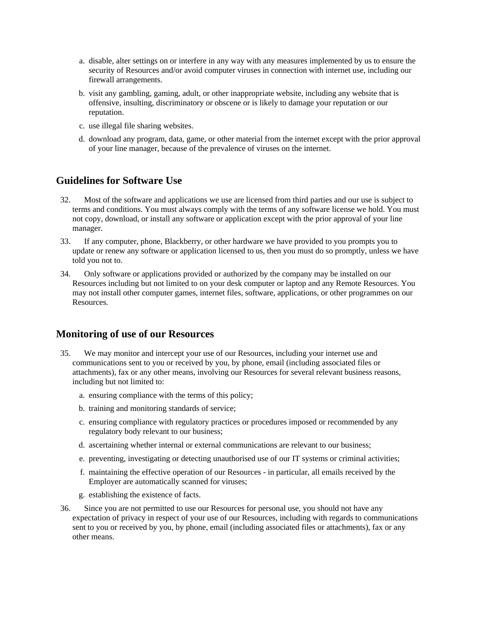- a. disable, alter settings on or interfere in any way with any measures implemented by us to ensure the security of Resources and/or avoid computer viruses in connection with internet use, including our firewall arrangements.
- b. visit any gambling, gaming, adult, or other inappropriate website, including any website that is offensive, insulting, discriminatory or obscene or is likely to damage your reputation or our reputation.
- c. use illegal file sharing websites.
- d. download any program, data, game, or other material from the internet except with the prior approval of your line manager, because of the prevalence of viruses on the internet.

#### **Guidelines for Software Use**

- 32. Most of the software and applications we use are licensed from third parties and our use is subject to terms and conditions. You must always comply with the terms of any software license we hold. You must not copy, download, or install any software or application except with the prior approval of your line manager.
- 33. If any computer, phone, Blackberry, or other hardware we have provided to you prompts you to update or renew any software or application licensed to us, then you must do so promptly, unless we have told you not to.
- 34. Only software or applications provided or authorized by the company may be installed on our Resources including but not limited to on your desk computer or laptop and any Remote Resources. You may not install other computer games, internet files, software, applications, or other programmes on our Resources.

## **Monitoring of use of our Resources**

- 35. We may monitor and intercept your use of our Resources, including your internet use and communications sent to you or received by you, by phone, email (including associated files or attachments), fax or any other means, involving our Resources for several relevant business reasons, including but not limited to:
	- a. ensuring compliance with the terms of this policy;
	- b. training and monitoring standards of service;
	- c. ensuring compliance with regulatory practices or procedures imposed or recommended by any regulatory body relevant to our business;
	- d. ascertaining whether internal or external communications are relevant to our business;
	- e. preventing, investigating or detecting unauthorised use of our IT systems or criminal activities;
	- f. maintaining the effective operation of our Resources in particular, all emails received by the Employer are automatically scanned for viruses;
	- g. establishing the existence of facts.
- 36. Since you are not permitted to use our Resources for personal use, you should not have any expectation of privacy in respect of your use of our Resources, including with regards to communications sent to you or received by you, by phone, email (including associated files or attachments), fax or any other means.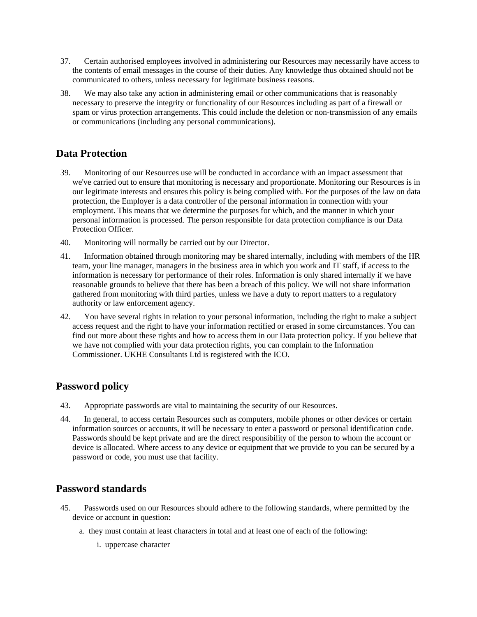- 37. Certain authorised employees involved in administering our Resources may necessarily have access to the contents of email messages in the course of their duties. Any knowledge thus obtained should not be communicated to others, unless necessary for legitimate business reasons.
- 38. We may also take any action in administering email or other communications that is reasonably necessary to preserve the integrity or functionality of our Resources including as part of a firewall or spam or virus protection arrangements. This could include the deletion or non-transmission of any emails or communications (including any personal communications).

# **Data Protection**

- 39. Monitoring of our Resources use will be conducted in accordance with an impact assessment that we've carried out to ensure that monitoring is necessary and proportionate. Monitoring our Resources is in our legitimate interests and ensures this policy is being complied with. For the purposes of the law on data protection, the Employer is a data controller of the personal information in connection with your employment. This means that we determine the purposes for which, and the manner in which your personal information is processed. The person responsible for data protection compliance is our Data Protection Officer.
- 40. Monitoring will normally be carried out by our Director.
- 41. Information obtained through monitoring may be shared internally, including with members of the HR team, your line manager, managers in the business area in which you work and IT staff, if access to the information is necessary for performance of their roles. Information is only shared internally if we have reasonable grounds to believe that there has been a breach of this policy. We will not share information gathered from monitoring with third parties, unless we have a duty to report matters to a regulatory authority or law enforcement agency.
- 42. You have several rights in relation to your personal information, including the right to make a subject access request and the right to have your information rectified or erased in some circumstances. You can find out more about these rights and how to access them in our Data protection policy. If you believe that we have not complied with your data protection rights, you can complain to the Information Commissioner. UKHE Consultants Ltd is registered with the ICO.

# **Password policy**

- 43. Appropriate passwords are vital to maintaining the security of our Resources.
- 44. In general, to access certain Resources such as computers, mobile phones or other devices or certain information sources or accounts, it will be necessary to enter a password or personal identification code. Passwords should be kept private and are the direct responsibility of the person to whom the account or device is allocated. Where access to any device or equipment that we provide to you can be secured by a password or code, you must use that facility.

# **Password standards**

- 45. Passwords used on our Resources should adhere to the following standards, where permitted by the device or account in question:
	- a. they must contain at least characters in total and at least one of each of the following:
		- i. uppercase character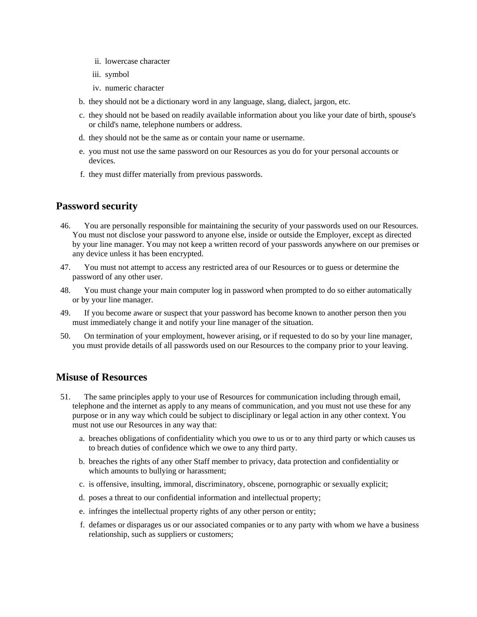- ii. lowercase character
- iii. symbol
- iv. numeric character
- b. they should not be a dictionary word in any language, slang, dialect, jargon, etc.
- c. they should not be based on readily available information about you like your date of birth, spouse's or child's name, telephone numbers or address.
- d. they should not be the same as or contain your name or username.
- e. you must not use the same password on our Resources as you do for your personal accounts or devices.
- f. they must differ materially from previous passwords.

## **Password security**

- 46. You are personally responsible for maintaining the security of your passwords used on our Resources. You must not disclose your password to anyone else, inside or outside the Employer, except as directed by your line manager. You may not keep a written record of your passwords anywhere on our premises or any device unless it has been encrypted.
- 47. You must not attempt to access any restricted area of our Resources or to guess or determine the password of any other user.
- 48. You must change your main computer log in password when prompted to do so either automatically or by your line manager.
- 49. If you become aware or suspect that your password has become known to another person then you must immediately change it and notify your line manager of the situation.
- 50. On termination of your employment, however arising, or if requested to do so by your line manager, you must provide details of all passwords used on our Resources to the company prior to your leaving.

## **Misuse of Resources**

- 51. The same principles apply to your use of Resources for communication including through email, telephone and the internet as apply to any means of communication, and you must not use these for any purpose or in any way which could be subject to disciplinary or legal action in any other context. You must not use our Resources in any way that:
	- a. breaches obligations of confidentiality which you owe to us or to any third party or which causes us to breach duties of confidence which we owe to any third party.
	- b. breaches the rights of any other Staff member to privacy, data protection and confidentiality or which amounts to bullying or harassment;
	- c. is offensive, insulting, immoral, discriminatory, obscene, pornographic or sexually explicit;
	- d. poses a threat to our confidential information and intellectual property;
	- e. infringes the intellectual property rights of any other person or entity;
	- f. defames or disparages us or our associated companies or to any party with whom we have a business relationship, such as suppliers or customers;